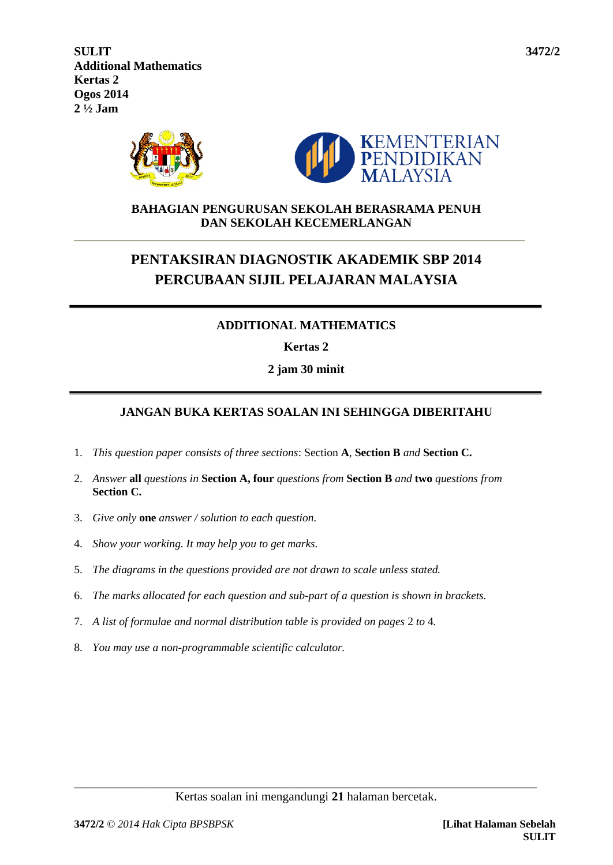**SULIT 3472/2 Additional Mathematics Kertas 2 Ogos 2014 2 ½ Jam**



## **BAHAGIAN PENGURUSAN SEKOLAH BERASRAMA PENUH DAN SEKOLAH KECEMERLANGAN**

# **PENTAKSIRAN DIAGNOSTIK AKADEMIK SBP 2014 PERCUBAAN SIJIL PELAJARAN MALAYSIA**

# **ADDITIONAL MATHEMATICS**

**Kertas 2**

**2 jam 30 minit**

# **JANGAN BUKA KERTAS SOALAN INI SEHINGGA DIBERITAHU**

- 1. *This question paper consists of three sections*: Section **A**, **Section B** *and* **Section C.**
- 2. *Answer* **all** *questions in* **Section A, four** *questions from* **Section B** *and* **two** *questions from* **Section C.**
- 3. *Give only* **one** *answer / solution to each question.*
- 4. *Show your working. It may help you to get marks.*
- 5. *The diagrams in the questions provided are not drawn to scale unless stated.*
- 6. *The marks allocated for each question and sub-part of a question is shown in brackets.*
- 7. *A list of formulae and normal distribution table is provided on pages* 2 *to* 4*.*
- 8. *You may use a non-programmable scientific calculator.*

\_\_\_\_\_\_\_\_\_\_\_\_\_\_\_\_\_\_\_\_\_\_\_\_\_\_\_\_\_\_\_\_\_\_\_\_\_\_\_\_\_\_\_\_\_\_\_\_\_\_\_\_\_\_\_\_\_\_\_\_\_\_\_\_\_\_\_\_\_\_\_\_\_\_\_ Kertas soalan ini mengandungi **21** halaman bercetak.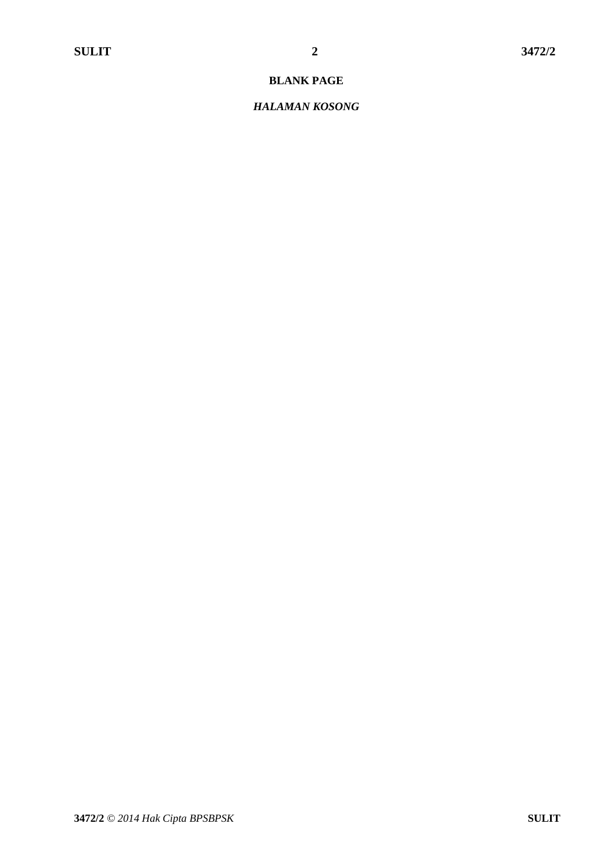#### **BLANK PAGE**

#### *HALAMAN KOSONG*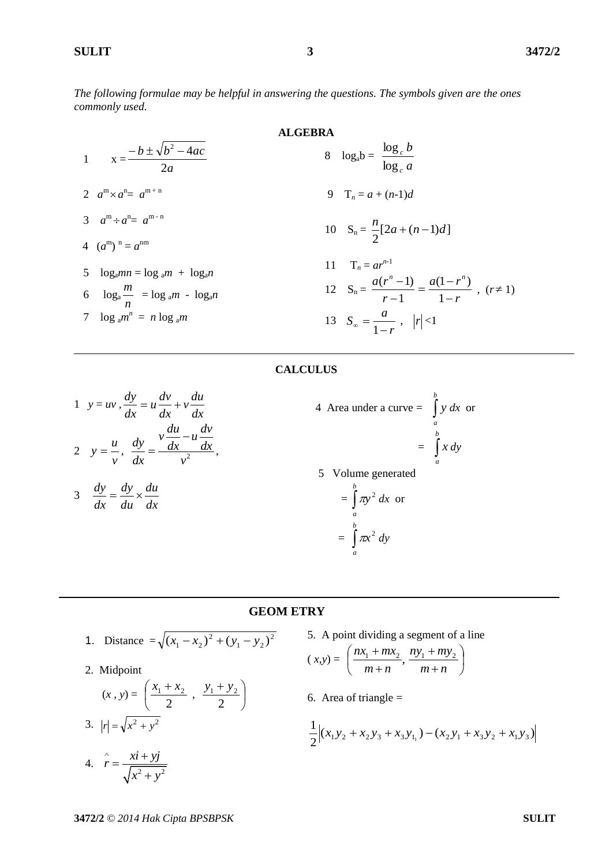*The following formulae may be helpful in answering the questions. The symbols given are the ones commonly used.*

ALGEBRA  
\n1 
$$
x = \frac{-b \pm \sqrt{b^2 - 4ac}}{2a}
$$
  
\n2  $a^m \times a^n = a^{m+n}$   
\n3  $a^m \div a^n = a^{m-n}$   
\n4  $(a^m)^n = a^{nm}$   
\n5  $\log_a m = \log_a m + \log_a n$   
\n6  $\log_a \frac{m}{n} = \log_a m - \log_a n$   
\n7  $\log_a m^n = n \log_a m$   
\n8  $\log_a b = \frac{\log_c b}{\log_c a}$   
\n9  $T_n = a + (n-1)d$   
\n10  $S_n = \frac{n}{2}[2a + (n-1)d]$   
\n11  $T_n = ar^{n-1}$   
\n12  $S_n = \frac{a(r^n - 1)}{r - 1} = \frac{a(1 - r^n)}{1 - r}$ ,  $(r \neq 1)$   
\n13  $S_\infty = \frac{a}{1 - r}$ ,  $|r| < 1$ 

#### **CALCULUS**

1 
$$
y = uv
$$
,  $\frac{dy}{dx} = u \frac{dv}{dx} + v \frac{du}{dx}$   
\n2  $y = \frac{u}{v}$ ,  $\frac{dy}{dx} = \frac{v \frac{du}{dx} - u \frac{dv}{dx}}{v^2}$ ,

$$
3 \quad \frac{dy}{dx} = \frac{dy}{du} \times \frac{du}{dx}
$$

4 Area under a curve = 
$$
\int_{a}^{b} y \, dx
$$
 or  
\n
$$
= \int_{a}^{b} x \, dy
$$
\n5 Volume generated  
\n
$$
= \int_{a}^{b} \pi y^2 \, dx
$$
 or  
\n
$$
= \int_{a}^{b} \pi x^2 \, dy
$$

*r*

*b*

1

#### **GEOM ETRY**

1. Distance = 
$$
\sqrt{(x_1 - x_2)^2 + (y_1 - y_2)^2}
$$

2. Midpoint

$$
(x, y) = \left(\frac{x_1 + x_2}{2}, \frac{y_1 + y_2}{2}\right)
$$

3.  $|r| = \sqrt{x^2 + y^2}$  $\hat{r} = \frac{xi + yj}{\sqrt{2}}$  $\hat{r} = \frac{xi + \hat{r}}{1 - \hat{r}}$ 

4.  $r = \frac{x+ y}{\sqrt{x^2 + y^2}}$ 

- 5. A point dividing a segment of a line  $(x,y) = \left| \frac{nx_1 + mx_2}{n}, \right.$  $\setminus$ ſ  $\ddot{}$  $^{+}$  $m + n$  $\frac{nx_1 + mx_2}{n}$ ,  $\frac{ny_1 + my_2}{n}$  $\big)$  $\setminus$  $\overline{+}$  $^{+}$  $m + n$  $ny_1 + my_2$
- 6. Area of triangle  $=$

$$
\frac{1}{2}\Big| (x_1y_2 + x_2y_3 + x_3y_{1_1}) - (x_2y_1 + x_3y_2 + x_1y_3)
$$

 $x^2 + y$ 

 $\ddot{}$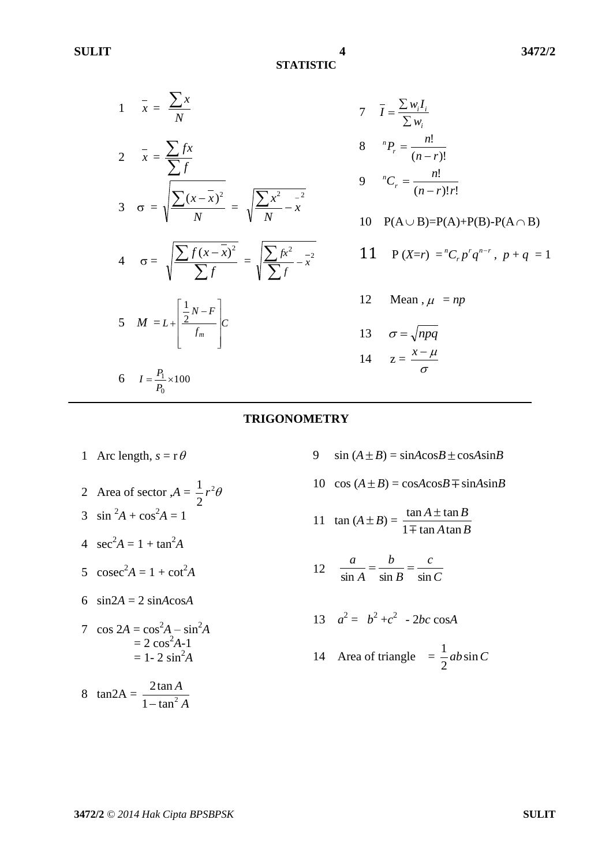**STATISTIC**

8

9

1 
$$
\bar{x} = \frac{\sum x}{N}
$$
  
\n2  $\bar{x} = \frac{\sum fx}{\sum f}$   
\n3  $\sigma = \sqrt{\frac{\sum (x - \bar{x})^2}{N}} = \sqrt{\frac{\sum x^2 - x^2}{N}} = \sqrt{\frac{\sum x^2 - x^2}{\sum f}}$   
\n4  $\sigma = \sqrt{\frac{\sum f(x - \bar{x})^2}{\sum f}} = \sqrt{\frac{\sum fx^2 - x^2}{\sum f}} = \sqrt{\frac{\sum fx^2 - x^2}{\sum f}} = \sqrt{\frac{\sum fx^2 - x^2}{\sum f}} = \sqrt{\frac{\sum fx^2 - x^2}{\sum f}} = \sqrt{\frac{\sum fx^2 - x^2}{\sum f}} = \sqrt{\frac{\sum fx^2 - x^2}{\sum f}} = \sqrt{\frac{\sum fx^2 - x^2}{\sum f}} = \sqrt{\frac{\sum fx^2 - x^2}{\sum f}} = \sqrt{\frac{\sum fx^2 - x^2}{\sum f}} = \sqrt{\frac{\sum fx^2 - x^2}{\sum f}} = \sqrt{\frac{\sum fx^2 - x^2}{\sum f}} = \sqrt{\frac{\sum fx^2 - x^2}{\sum f}} = \sqrt{\frac{\sum fx^2 - x^2}{\sum f}} = \sqrt{\frac{\sum fx^2 - x^2}{\sum f}} = \sqrt{\frac{\sum fx^2 - x^2}{\sum f}} = \sqrt{\frac{\sum fx^2 - x^2}{\sum f}} = \sqrt{\frac{\sum fx^2 - x^2}{\sum f}} = \sqrt{\frac{\sum fx^2 - x^2}{\sum f}} = \sqrt{\frac{\sum fx^2 - x^2}{\sum f}} = \sqrt{\frac{\sum fx^2 - x^2}{\sum f}} = \sqrt{\frac{\sum fx^2 - x^2}{\sum f}} = \sqrt{\frac{\sum fx^2 - x^2}{\sum f}} = \sqrt{\frac{\sum fx^2 - x^2}{\sum f}} = \sqrt{\frac{\sum fx^2 - x^2}{\sum f}} = \sqrt{\frac{\sum fx^2 - x^2}{\sum f}} = \sqrt{\frac{\sum fx^2 - x^2}{\sum f}} = \sqrt{\frac{\sum fx^2 - x^2}{\sum f}} = \sqrt{\frac{\sum fx^2 - x^2}{\sum f}} = \sqrt{\frac{\sum fx^2 - x^2}{\sum f}} = \sqrt{\frac{\sum fx^2 - x^2}{\sum f}} = \sqrt{\frac{\sum fx^2 - x^2}{\sum f}} = \sqrt{\frac{\sum fx^2 - x^2}{\sum f}} = \sqrt{\frac{\sum fx^2 - x^2}{\sum f}} = \sqrt$ 

7 
$$
\bar{I} = \frac{\sum w_i I_i}{\sum w_i}
$$
  
\n8  ${}^nP_r = \frac{n!}{(n-r)!}$   
\n9  ${}^nC_r = \frac{n!}{(n-r)!r!}$   
\n10  $P(A \cup B)=P(A)+P(B)-P(A \cap B)$   
\n11  $P(X=r) = {}^nC_r p^r q^{n-r}, p+q = 1$ 

**TRIGONOMETRY**

2 Area of sector  $A = \frac{1}{2}r^2$ 2  $r^2\theta$ 3  $\sin^2 A + \cos^2 A = 1$ 4  $\sec^2 A = 1 + \tan^2 A$ 5  $\csc^2 A = 1 + \cot^2 A$ 6  $sin2A = 2 sinA cosA$ 7  $\cos 2A = \cos^2 A - \sin^2 A$  $= 2 \cos^2 A - 1$  $= 1 - 2 \sin^2 A$ 

1 Arc length,  $s = r \theta$ 

8  $tan2A =$ *A A*  $1 - \tan^2$ 2tan  $\overline{a}$ 

- 9  $\sin (A \pm B) = \sin A \cos B \pm \cos A \sin B$
- $10 \cos(A \pm B) = \cos A \cos B \mp \sin A \sin B$

11 
$$
\tan (A \pm B) = \frac{\tan A \pm \tan B}{1 \mp \tan A \tan B}
$$

12 Mean,  $\mu$  =  $np$ 

14  $z = \frac{x}{\sigma}$ 

 $x - \mu$ 

13  $\sigma = \sqrt{npq}$ 

12 
$$
\frac{a}{\sin A} = \frac{b}{\sin B} = \frac{c}{\sin C}
$$

$$
13 \quad a^2 = b^2 + c^2 - 2bc \cos A
$$

14 Area of triangle 
$$
=\frac{1}{2}ab\sin C
$$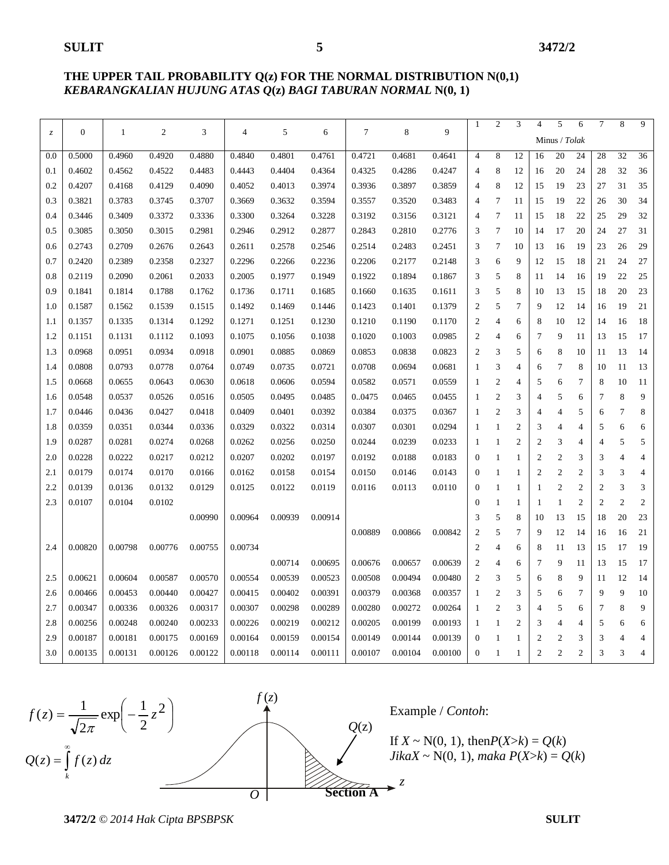#### **THE UPPER TAIL PROBABILITY Q(z) FOR THE NORMAL DISTRIBUTION N(0,1)** *KEBARANGKALIAN HUJUNG ATAS Q***(z)** *BAGI TABURAN NORMAL* **N(0, 1)**

| $\ensuremath{\mathnormal{Z}}$ | $\mathbf{0}$ | 1       | $\boldsymbol{2}$ | 3       | 4       | 5       | 6       | 7       | 8       | 9       | 1              | $\overline{c}$ | 3              | $\overline{4}$ | 5              | 6              | 7              | 8              | 9              |
|-------------------------------|--------------|---------|------------------|---------|---------|---------|---------|---------|---------|---------|----------------|----------------|----------------|----------------|----------------|----------------|----------------|----------------|----------------|
|                               |              |         |                  |         |         |         |         |         |         |         |                |                |                |                | Minus / Tolak  |                |                |                |                |
| 0.0                           | 0.5000       | 0.4960  | 0.4920           | 0.4880  | 0.4840  | 0.4801  | 0.4761  | 0.4721  | 0.4681  | 0.4641  | $\overline{4}$ | 8              | 12             | 16             | 20             | 24             | 28             | 32             | 36             |
| 0.1                           | 0.4602       | 0.4562  | 0.4522           | 0.4483  | 0.4443  | 0.4404  | 0.4364  | 0.4325  | 0.4286  | 0.4247  | 4              | 8              | 12             | 16             | 20             | 24             | 28             | 32             | 36             |
| 0.2                           | 0.4207       | 0.4168  | 0.4129           | 0.4090  | 0.4052  | 0.4013  | 0.3974  | 0.3936  | 0.3897  | 0.3859  | 4              | 8              | 12             | 15             | 19             | 23             | 27             | 31             | 35             |
| 0.3                           | 0.3821       | 0.3783  | 0.3745           | 0.3707  | 0.3669  | 0.3632  | 0.3594  | 0.3557  | 0.3520  | 0.3483  | 4              | 7              | 11             | 15             | 19             | 22             | 26             | 30             | 34             |
| 0.4                           | 0.3446       | 0.3409  | 0.3372           | 0.3336  | 0.3300  | 0.3264  | 0.3228  | 0.3192  | 0.3156  | 0.3121  | 4              | 7              | 11             | 15             | 18             | 22             | 25             | 29             | 32             |
| 0.5                           | 0.3085       | 0.3050  | 0.3015           | 0.2981  | 0.2946  | 0.2912  | 0.2877  | 0.2843  | 0.2810  | 0.2776  | 3              | $\tau$         | 10             | 14             | 17             | 20             | 24             | 27             | 31             |
| 0.6                           | 0.2743       | 0.2709  | 0.2676           | 0.2643  | 0.2611  | 0.2578  | 0.2546  | 0.2514  | 0.2483  | 0.2451  | 3              | $\tau$         | 10             | 13             | 16             | 19             | 23             | 26             | 29             |
| 0.7                           | 0.2420       | 0.2389  | 0.2358           | 0.2327  | 0.2296  | 0.2266  | 0.2236  | 0.2206  | 0.2177  | 0.2148  | 3              | 6              | 9              | 12             | 15             | 18             | 21             | 24             | 27             |
| 0.8                           | 0.2119       | 0.2090  | 0.2061           | 0.2033  | 0.2005  | 0.1977  | 0.1949  | 0.1922  | 0.1894  | 0.1867  | 3              | 5              | 8              | 11             | 14             | 16             | 19             | 22             | 25             |
| 0.9                           | 0.1841       | 0.1814  | 0.1788           | 0.1762  | 0.1736  | 0.1711  | 0.1685  | 0.1660  | 0.1635  | 0.1611  | 3              | 5              | 8              | 10             | 13             | 15             | 18             | 20             | 23             |
| 1.0                           | 0.1587       | 0.1562  | 0.1539           | 0.1515  | 0.1492  | 0.1469  | 0.1446  | 0.1423  | 0.1401  | 0.1379  | $\overline{2}$ | 5              | 7              | 9              | 12             | 14             | 16             | 19             | 21             |
| 1.1                           | 0.1357       | 0.1335  | 0.1314           | 0.1292  | 0.1271  | 0.1251  | 0.1230  | 0.1210  | 0.1190  | 0.1170  | $\overline{2}$ | 4              | 6              | 8              | 10             | 12             | 14             | 16             | 18             |
| 1.2                           | 0.1151       | 0.1131  | 0.1112           | 0.1093  | 0.1075  | 0.1056  | 0.1038  | 0.1020  | 0.1003  | 0.0985  | 2              | 4              | 6              | 7              | 9              | 11             | 13             | 15             | 17             |
| 1.3                           | 0.0968       | 0.0951  | 0.0934           | 0.0918  | 0.0901  | 0.0885  | 0.0869  | 0.0853  | 0.0838  | 0.0823  | $\overline{2}$ | 3              | 5              | 6              | 8              | 10             | 11             | 13             | 14             |
| 1.4                           | 0.0808       | 0.0793  | 0.0778           | 0.0764  | 0.0749  | 0.0735  | 0.0721  | 0.0708  | 0.0694  | 0.0681  | 1              | 3              | 4              | 6              | 7              | 8              | 10             | 11             | 13             |
| 1.5                           | 0.0668       | 0.0655  | 0.0643           | 0.0630  | 0.0618  | 0.0606  | 0.0594  | 0.0582  | 0.0571  | 0.0559  | 1              | $\overline{c}$ | $\overline{4}$ | 5              | 6              | $\overline{7}$ | 8              | 10             | 11             |
| 1.6                           | 0.0548       | 0.0537  | 0.0526           | 0.0516  | 0.0505  | 0.0495  | 0.0485  | 00475   | 0.0465  | 0.0455  | 1              | $\overline{c}$ | 3              | 4              | 5              | 6              | 7              | 8              | 9              |
| 1.7                           | 0.0446       | 0.0436  | 0.0427           | 0.0418  | 0.0409  | 0.0401  | 0.0392  | 0.0384  | 0.0375  | 0.0367  | 1              | $\mathfrak{2}$ | 3              | 4              | $\overline{4}$ | 5              | 6              | $\overline{7}$ | 8              |
| 1.8                           | 0.0359       | 0.0351  | 0.0344           | 0.0336  | 0.0329  | 0.0322  | 0.0314  | 0.0307  | 0.0301  | 0.0294  | 1              | $\mathbf{1}$   | $\overline{2}$ | 3              | 4              | $\overline{4}$ | 5              | 6              | 6              |
| 1.9                           | 0.0287       | 0.0281  | 0.0274           | 0.0268  | 0.0262  | 0.0256  | 0.0250  | 0.0244  | 0.0239  | 0.0233  | 1              | $\mathbf{1}$   | $\overline{2}$ | $\overline{2}$ | 3              | $\overline{4}$ | $\overline{4}$ | 5              | 5              |
| 2.0                           | 0.0228       | 0.0222  | 0.0217           | 0.0212  | 0.0207  | 0.0202  | 0.0197  | 0.0192  | 0.0188  | 0.0183  | $\theta$       | $\mathbf{1}$   | 1              | $\mathfrak{2}$ | $\overline{2}$ | 3              | 3              | $\overline{4}$ | $\overline{4}$ |
| 2.1                           | 0.0179       | 0.0174  | 0.0170           | 0.0166  | 0.0162  | 0.0158  | 0.0154  | 0.0150  | 0.0146  | 0.0143  | $\Omega$       | $\mathbf{1}$   | $\mathbf{1}$   | $\overline{c}$ | $\overline{2}$ | $\mathfrak{2}$ | 3              | 3              | $\overline{4}$ |
| 2.2                           | 0.0139       | 0.0136  | 0.0132           | 0.0129  | 0.0125  | 0.0122  | 0.0119  | 0.0116  | 0.0113  | 0.0110  | $\theta$       | $\mathbf{1}$   | 1              | $\mathbf{1}$   | $\overline{2}$ | $\mathfrak{2}$ | $\overline{2}$ | 3              | 3              |
| 2.3                           | 0.0107       | 0.0104  | 0.0102           |         |         |         |         |         |         |         | $\theta$       | $\mathbf{1}$   | 1              | $\mathbf{1}$   | $\mathbf{1}$   | $\mathfrak{2}$ | $\mathfrak{2}$ | $\overline{2}$ | $\mathfrak{2}$ |
|                               |              |         |                  | 0.00990 | 0.00964 | 0.00939 | 0.00914 |         |         |         | 3              | 5              | 8              | 10             | 13             | 15             | 18             | 20             | 23             |
|                               |              |         |                  |         |         |         |         | 0.00889 | 0.00866 | 0.00842 | 2              | 5              | 7              | 9              | 12             | 14             | 16             | 16             | 21             |
| 2.4                           | 0.00820      | 0.00798 | 0.00776          | 0.00755 | 0.00734 |         |         |         |         |         | $\overline{2}$ | 4              | 6              | 8              | 11             | 13             | 15             | 17             | 19             |
|                               |              |         |                  |         |         | 0.00714 | 0.00695 | 0.00676 | 0.00657 | 0.00639 | $\overline{2}$ | 4              | 6              | 7              | 9              | 11             | 13             | 15             | 17             |
| 2.5                           | 0.00621      | 0.00604 | 0.00587          | 0.00570 | 0.00554 | 0.00539 | 0.00523 | 0.00508 | 0.00494 | 0.00480 | $\overline{2}$ | 3              | 5              | 6              | 8              | 9              | 11             | 12             | 14             |
| 2.6                           | 0.00466      | 0.00453 | 0.00440          | 0.00427 | 0.00415 | 0.00402 | 0.00391 | 0.00379 | 0.00368 | 0.00357 | 1              | $\mathfrak{2}$ | 3              | 5              | 6              | $\overline{7}$ | 9              | 9              | 10             |
| 2.7                           | 0.00347      | 0.00336 | 0.00326          | 0.00317 | 0.00307 | 0.00298 | 0.00289 | 0.00280 | 0.00272 | 0.00264 | 1              | $\overline{c}$ | 3              | 4              | 5              | 6              | $\overline{7}$ | 8              | 9              |
| 2.8                           | 0.00256      | 0.00248 | 0.00240          | 0.00233 | 0.00226 | 0.00219 | 0.00212 | 0.00205 | 0.00199 | 0.00193 | $\mathbf{1}$   | $\mathbf{1}$   | $\overline{2}$ | 3              | $\overline{4}$ | $\overline{4}$ | 5              | 6              | 6              |
| 2.9                           | 0.00187      | 0.00181 | 0.00175          | 0.00169 | 0.00164 | 0.00159 | 0.00154 | 0.00149 | 0.00144 | 0.00139 | $\overline{0}$ | $\mathbf{1}$   | $\mathbf{1}$   | $\overline{2}$ | $\overline{2}$ | 3              | 3              | $\overline{4}$ | $\overline{4}$ |
| 3.0                           | 0.00135      | 0.00131 | 0.00126          | 0.00122 | 0.00118 | 0.00114 | 0.00111 | 0.00107 | 0.00104 | 0.00100 | $\overline{0}$ | 1              | -1             | $\overline{c}$ | $\overline{2}$ | $\overline{c}$ | 3              | 3              | $\overline{4}$ |
|                               |              |         |                  |         |         |         |         |         |         |         |                |                |                |                |                |                |                |                |                |





Example / *Contoh*:

If  $X \sim N(0, 1)$ , then $P(X > k) = Q(k)$  $JikaX \sim N(0, 1)$ , *maka*  $P(X > k) = Q(k)$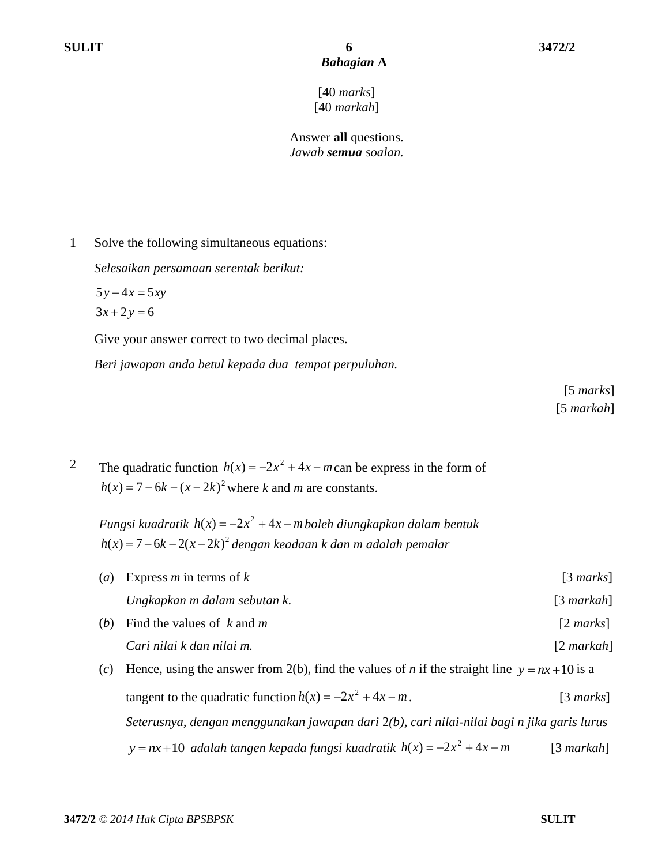[40 *marks*] [40 *markah*]

Answer **all** questions. *Jawab semua soalan.*

1 Solve the following simultaneous equations:

*Selesaikan persamaan serentak berikut:*

 $5y-4x=5xy$ 

 $3x + 2y = 6$ 

Give your answer correct to two decimal places.

*Beri jawapan anda betul kepada dua tempat perpuluhan.*

[5 *marks*] [5 *markah*]

2 The quadratic function  $h(x) = -2x^2 + 4x - m$  can be express in the form of  $h(x) = 7 - 6k - (x - 2k)^2$  where *k* and *m* are constants.

*Fungsi kuadratik*  $h(x) = -2x^2 + 4x - m$  *boleh diungkapkan dalam bentuk* 2 *h x k x k* ( ) 7 6 2( 2 ) *dengan keadaan k dan m adalah pemalar*

(*a*) Express *m* in terms of *k* [3 *marks*] *Ungkapkan m dalam sebutan k.* [3 *markah*] (*b*) Find the values of *k* and *m* [2 *marks*]

*Cari nilai k dan nilai m.* [2 *markah*]

(*c*) Hence, using the answer from 2(b), find the values of *n* if the straight line  $y = nx + 10$  is a tangent to the quadratic function  $h(x) = -2x^2 + 4x - m$ . [3 *marks*] *Seterusnya, dengan menggunakan jawapan dari* 2*(b), cari nilai-nilai bagi n jika garis lurus*   $y = nx + 10$  adalah tangen kepada fungsi kuadratik  $h(x) = -2x^2 + 4x - m$ [3 *markah*]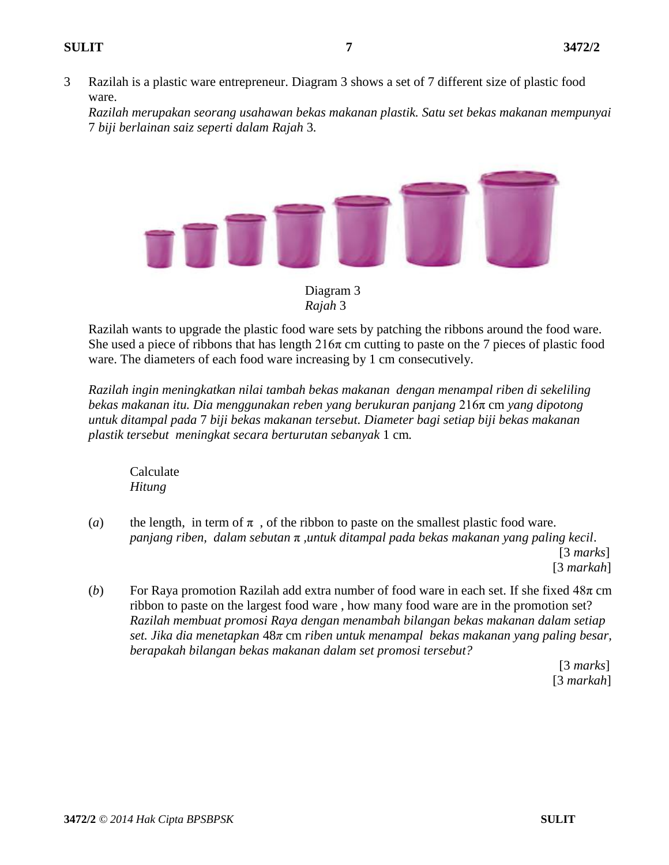3 Razilah is a plastic ware entrepreneur. Diagram 3 shows a set of 7 different size of plastic food ware.

*Razilah merupakan seorang usahawan bekas makanan plastik. Satu set bekas makanan mempunyai*  7 *biji berlainan saiz seperti dalam Rajah* 3*.* 



Diagram 3 *Rajah* 3

Razilah wants to upgrade the plastic food ware sets by patching the ribbons around the food ware. She used a piece of ribbons that has length  $216\pi$  cm cutting to paste on the 7 pieces of plastic food ware. The diameters of each food ware increasing by 1 cm consecutively.

*Razilah ingin meningkatkan nilai tambah bekas makanan dengan menampal riben di sekeliling bekas makanan itu. Dia menggunakan reben yang berukuran panjang* 216π cm *yang dipotong untuk ditampal pada* 7 *biji bekas makanan tersebut. Diameter bagi setiap biji bekas makanan plastik tersebut meningkat secara berturutan sebanyak* 1 cm*.*

Calculate *Hitung* 

- (*a*) the length, in term of  $\pi$ , of the ribbon to paste on the smallest plastic food ware. *panjang riben, dalam sebutan* π *,untuk ditampal pada bekas makanan yang paling kecil*. [3 *marks*] [3 *markah*]
- (*b*) For Raya promotion Razilah add extra number of food ware in each set. If she fixed 48π cm ribbon to paste on the largest food ware , how many food ware are in the promotion set? *Razilah membuat promosi Raya dengan menambah bilangan bekas makanan dalam setiap set. Jika dia menetapkan* 48*π* cm *riben untuk menampal bekas makanan yang paling besar, berapakah bilangan bekas makanan dalam set promosi tersebut?*

 [3 *marks*] [3 *markah*]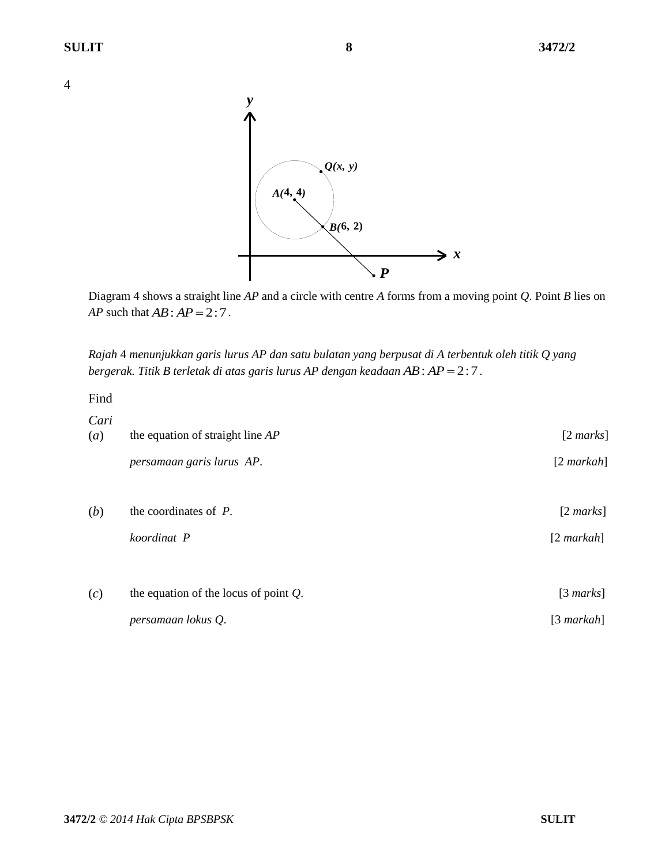

Diagram 4 shows a straight line *AP* and a circle with centre *A* forms from a moving point *Q*. Point *B* lies on *AP* such that  $AB : AP = 2 : 7$ .

*Rajah* 4 *menunjukkan garis lurus AP dan satu bulatan yang berpusat di A terbentuk oleh titik Q yang bergerak. Titik B terletak di atas garis lurus AP dengan keadaan AB* : *AP* = 2 : 7 .

Find

| Cari<br>(a) | the equation of straight line $AP$       | $[2 \text{ marks}]$ |
|-------------|------------------------------------------|---------------------|
|             | persamaan garis lurus AP.                | $[2$ markah]        |
| (b)         | the coordinates of $P$ .                 | $[2 \text{ marks}]$ |
|             | koordinat P                              | $[2$ markah]        |
| (c)         | the equation of the locus of point $Q$ . | [3 marks]           |
|             | persamaan lokus Q.                       | [3 $markah$ ]       |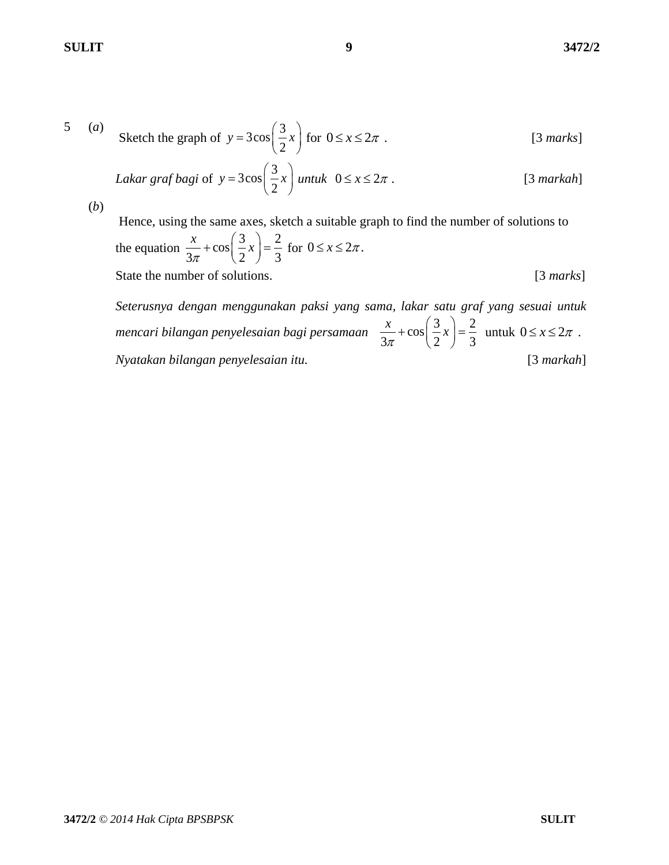5 (a) Sketch the graph of 
$$
y = 3\cos\left(\frac{3}{2}x\right)
$$
 for  $0 \le x \le 2\pi$ . [3 marks]

Lakar graf bagi of 
$$
y = 3\cos\left(\frac{3}{2}x\right)
$$
 untuk  $0 \le x \le 2\pi$ . [3 markah]

(*b*)

Hence, using the same axes, sketch a suitable graph to find the number of solutions to the equation  $\frac{x}{3\pi} + \cos\left(\frac{3}{2}x\right) = \frac{2}{3}$  $\frac{x}{2}$  + cos  $\left(\frac{3}{2}x\right)$  $+\cos\left(\frac{3}{2}x\right) = \frac{2}{3}$  for  $0 \le x \le 2\pi$ . State the number of solutions. [3 *marks*]

*Seterusnya dengan menggunakan paksi yang sama, lakar satu graf yang sesuai untuk mencari bilangan penyelesaian bagi persamaan*  $\frac{x}{3\pi} + \cos\left(\frac{3}{2}x\right) = \frac{2}{3}$  $\frac{x}{\sqrt{x}} + \cos\left(\frac{3}{2}x\right)$  $+\cos\left(\frac{3}{2}x\right) = \frac{2}{3}$ untuk  $0 \leq x \leq 2\pi$ . *Nyatakan bilangan penyelesaian itu.* [3 *markah*]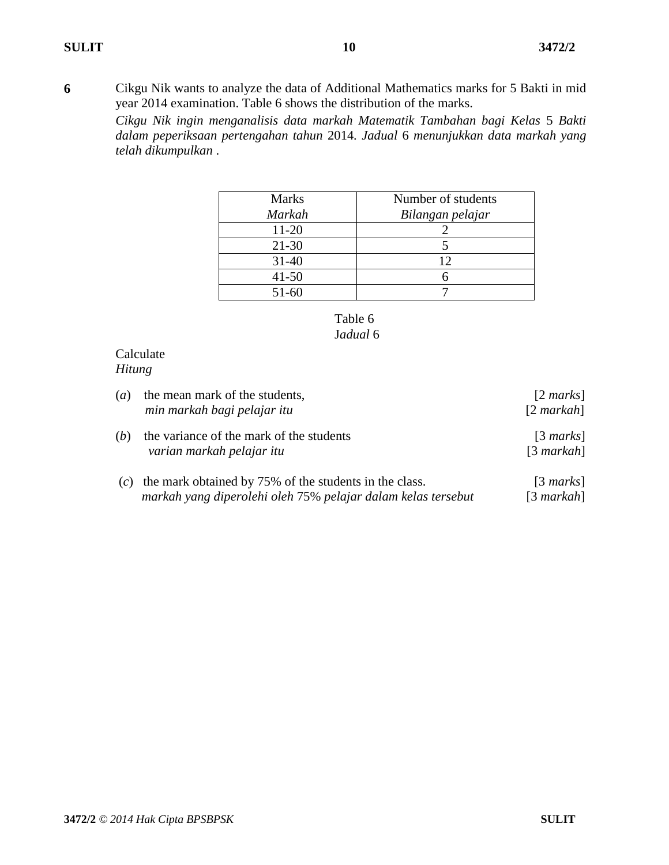**6** Cikgu Nik wants to analyze the data of Additional Mathematics marks for 5 Bakti in mid year 2014 examination. Table 6 shows the distribution of the marks.

*Cikgu Nik ingin menganalisis data markah Matematik Tambahan bagi Kelas* 5 *Bakti dalam peperiksaan pertengahan tahun* 2014*. Jadual* 6 *menunjukkan data markah yang telah dikumpulkan* .

| <b>Marks</b>  | Number of students |
|---------------|--------------------|
| <b>Markah</b> | Bilangan pelajar   |
| 11-20         |                    |
| $21 - 30$     |                    |
| $31 - 40$     | 12                 |
| $41 - 50$     |                    |
| $51 - 60$     |                    |



## Calculate *Hitung*

| (a) | the mean mark of the students,<br>min markah bagi pelajar itu                                                          | $[2 \text{ marks}]$<br>$[2$ markah] |
|-----|------------------------------------------------------------------------------------------------------------------------|-------------------------------------|
| (b) | the variance of the mark of the students<br>varian markah pelajar itu                                                  | $[3 \text{ marks}]$<br>$[3$ markah] |
| (c) | the mark obtained by 75% of the students in the class.<br>markah yang diperolehi oleh 75% pelajar dalam kelas tersebut | $[3 \text{ marks}]$<br>$[3$ markah] |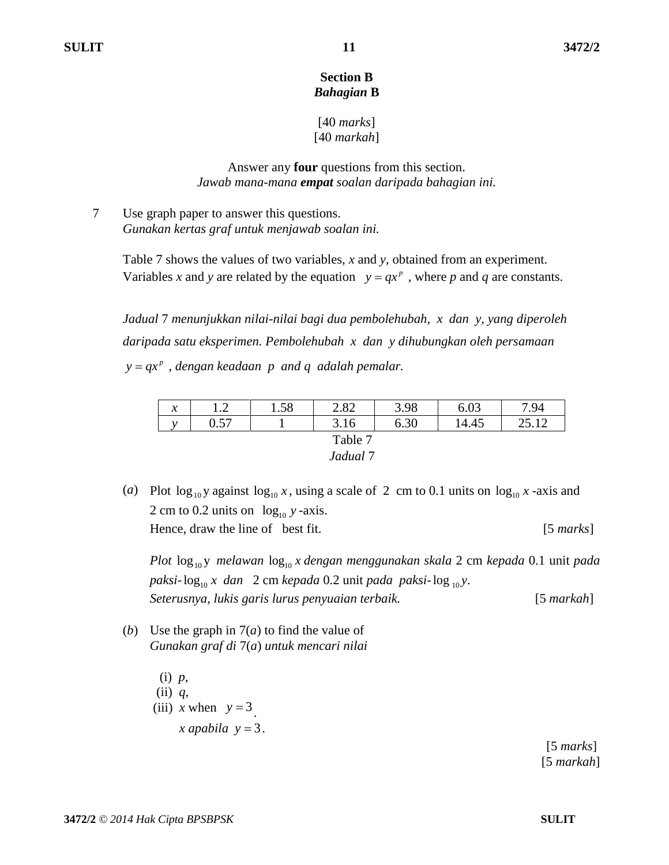#### **Section B** *Bahagian* **B**

## [40 *marks*] [40 *markah*]

## Answer any **four** questions from this section. *Jawab mana-mana empat soalan daripada bahagian ini.*

7 Use graph paper to answer this questions. *Gunakan kertas graf untuk menjawab soalan ini.*

> Table 7 shows the values of two variables, *x* and *y*, obtained from an experiment. Variables *x* and *y* are related by the equation  $y = qx^p$ , where *p* and *q* are constants.

> *Jadual* 7 *menunjukkan nilai-nilai bagi dua pembolehubah, x dan y, yang diperoleh daripada satu eksperimen. Pembolehubah x dan y dihubungkan oleh persamaan p y qx , dengan keadaan p and q adalah pemalar.*

| $\mathcal{X}$       | $\sim$<br>. | 1.58 | 2.82 | 3.98 | 6.03  | 7.94                  |  |  |  |
|---------------------|-------------|------|------|------|-------|-----------------------|--|--|--|
| $\cdot$             | 0.57        |      | 3.16 | 6.30 | 14.45 | $\Omega$ $\Gamma$ 1.0 |  |  |  |
| Table 7             |             |      |      |      |       |                       |  |  |  |
| Jadual <sup>7</sup> |             |      |      |      |       |                       |  |  |  |

(*a*) Plot  $\log_{10} y$  against  $\log_{10} x$ , using a scale of 2 cm to 0.1 units on  $\log_{10} x$  -axis and 2 cm to 0.2 units on  $log_{10} y$  -axis. Hence, draw the line of best fit. [5 *marks*]

*Plot*  $\log_{10}$ y *melawan*  $\log_{10} x$  *dengan menggunakan skala* 2 cm *kepada* 0.1 unit *pada* paksi- $\log_{10} x$  dan 2 cm *kepada* 0.2 unit *pada paksi-*  $\log_{10} y$ . *Seterusnya, lukis garis lurus penyuaian terbaik.* [5 *markah*]

(*b*) Use the graph in 7(*a*) to find the value of *Gunakan graf di* 7(*a*) *untuk mencari nilai*

> (i) *p*, (ii) *q*, (iii) *x* when  $y = 3$ .  $\int x \, dp \, ab \, d\mathbf{z}$   $y = 3$ .

 [5 *marks*] [5 *markah*]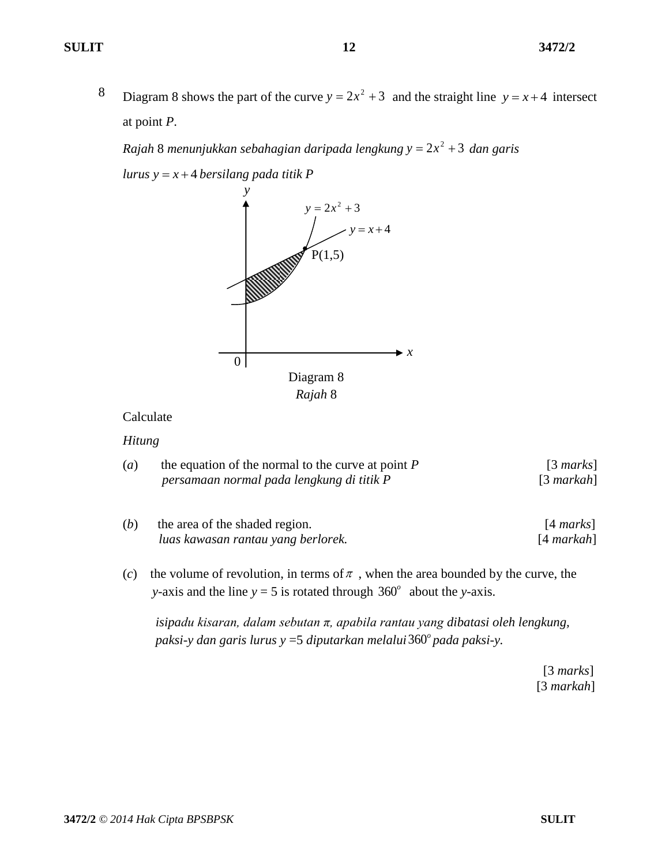8 Diagram 8 shows the part of the curve  $y = 2x^2 + 3$  and the straight line  $y = x + 4$  intersect at point *P*.

*Rajah* 8 menunjukkan sebahagian daripada lengkung y =  $2x^2 + 3$  dan garis

 $lurus y = x + 4$  *bersilang pada titik*  $P$ 



#### Calculate

#### *Hitung*

- (*a*) the equation of the normal to the curve at point *P* [3 *marks*] *persamaan normal pada lengkung di titik P* [3 *markah*]
- (*b*) the area of the shaded region. [4 *marks*]  *luas kawasan rantau yang berlorek.* [4 *markah*]
- (*c*) the volume of revolution, in terms of  $\pi$ , when the area bounded by the curve, the *y*-axis and the line  $y = 5$  is rotated through  $360^\circ$  about the *y*-axis.

 *isipadu kisaran, dalam sebutan π, apabila rantau yang dibatasi oleh lengkung, paksi-y dan garis lurus y* =5 *diputarkan melalui* 360*<sup>o</sup> pada paksi-y.*

> [3 *marks*] [3 *markah*]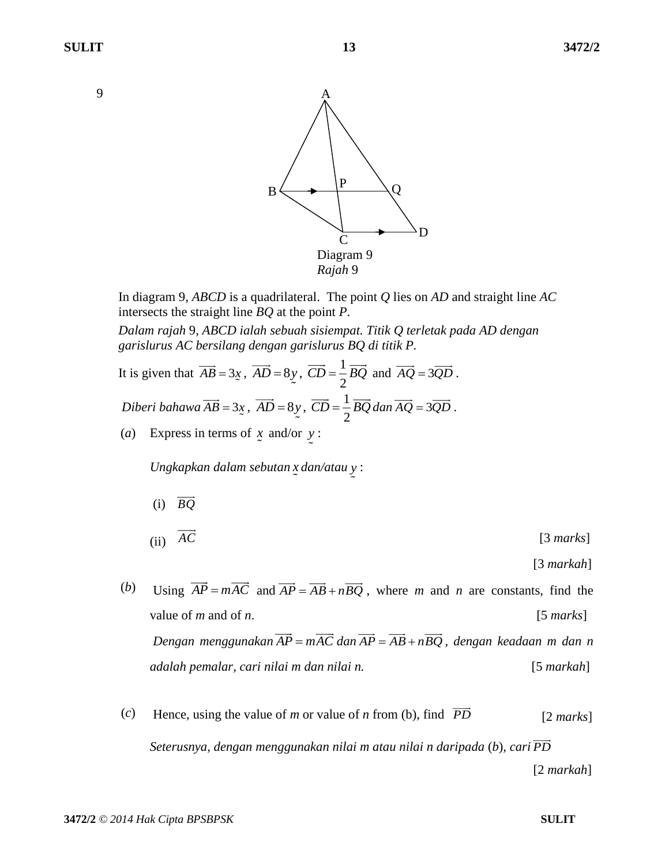

In diagram 9, *ABCD* is a quadrilateral. The point *Q* lies on *AD* and straight line *AC* intersects the straight line *BQ* at the point *P*.

*Dalam rajah* 9*, ABCD ialah sebuah sisiempat. Titik Q terletak pada AD dengan garislurus AC bersilang dengan garislurus BQ di titik P.*

It is given that 
$$
\overrightarrow{AB} = 3x
$$
,  $\overrightarrow{AD} = 8y$ ,  $\overrightarrow{CD} = \frac{1}{2} \overrightarrow{BQ}$  and  $\overrightarrow{AQ} = 3\overrightarrow{QD}$ .  
\nDiberi bahawa  $\overrightarrow{AB} = 3x$ ,  $\overrightarrow{AD} = 8y$ ,  $\overrightarrow{CD} = \frac{1}{2} \overrightarrow{BQ}$  dan  $\overrightarrow{AQ} = 3\overrightarrow{QD}$ .

(*a*) Express in terms of *x* and/or *y* :

*Ungkapkan dalam sebutan x dan/atau y* :

(i) *BQ*

$$
(ii) \quad \overline{AC} \tag{3 marks}
$$

[3 *markah*]

- (*b*) Using  $\overrightarrow{AP} = m\overrightarrow{AC}$  and  $\overrightarrow{AP} = \overrightarrow{AB} + n\overrightarrow{BQ}$ , where *m* and *n* are constants, find the value of *m* and of *n*. [5 *marks*]  $Dengan$  menggunakan  $\overrightarrow{AP} = m\overrightarrow{AC}$  dan  $\overrightarrow{AP} = \overrightarrow{AB} + n\overrightarrow{BQ}$ , dengan keadaan m dan n *adalah pemalar, cari nilai m dan nilai n.* [5 *markah*]
- (*c*) Hence, using the value of *m* or value of *n* from (b), find  $\overrightarrow{PD}$  [2 *marks*] *Seterusnya, dengan menggunakan nilai m atau nilai n daripada* (*b*)*, cari PD* [2 *markah*]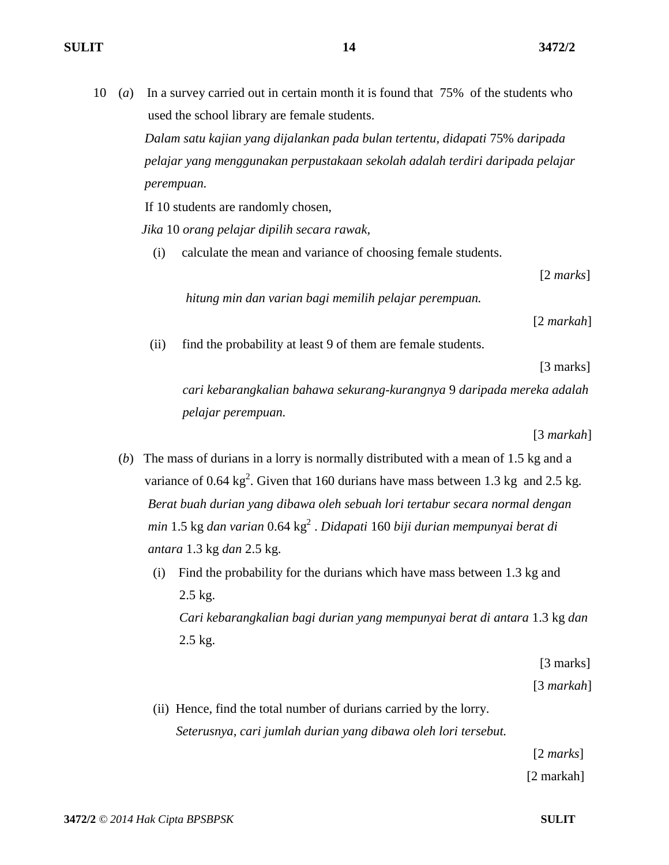10 (*a*) In a survey carried out in certain month it is found that 75% of the students who used the school library are female students.

> *Dalam satu kajian yang dijalankan pada bulan tertentu, didapati* 75% *daripada pelajar yang menggunakan perpustakaan sekolah adalah terdiri daripada pelajar perempuan.*

If 10 students are randomly chosen,

 *Jika* 10 *orang pelajar dipilih secara rawak,*

(i) calculate the mean and variance of choosing female students.

[2 *marks*]

*hitung min dan varian bagi memilih pelajar perempuan.* 

[2 *markah*]

(ii) find the probability at least 9 of them are female students.

[3 marks]

 *cari kebarangkalian bahawa sekurang-kurangnya* 9 *daripada mereka adalah pelajar perempuan.*

[3 *markah*]

- (*b*) The mass of durians in a lorry is normally distributed with a mean of 1.5 kg and a variance of 0.64  $\text{kg}^2$ . Given that 160 durians have mass between 1.3 kg and 2.5 kg. *Berat buah durian yang dibawa oleh sebuah lori tertabur secara normal dengan min* 1.5 kg *dan varian* 0.64 kg<sup>2</sup> . *Didapati* 160 *biji durian mempunyai berat di antara* 1.3 kg *dan* 2.5 kg.
	- (i) Find the probability for the durians which have mass between 1.3 kg and 2.5 kg. *Cari kebarangkalian bagi durian yang mempunyai berat di antara* 1.3 kg *dan* 2.5 kg.

[3 marks]

[3 *markah*]

(ii) Hence, find the total number of durians carried by the lorry.  *Seterusnya, cari jumlah durian yang dibawa oleh lori tersebut.*

[2 *marks*]

[2 markah]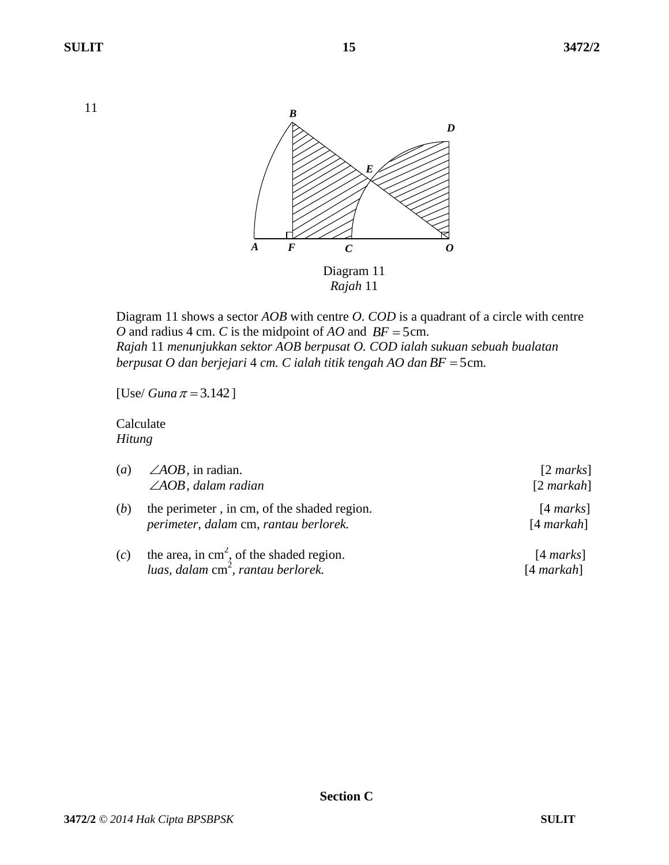11



Diagram 11 shows a sector *AOB* with centre *O*. *COD* is a quadrant of a circle with centre *O* and radius 4 cm. *C* is the midpoint of *AO* and  $BF = 5$ cm. *Rajah* 11 *menunjukkan sektor AOB berpusat O. COD ialah sukuan sebuah bualatan berpusat O dan berjejari* 4 *cm. C ialah titik tengah AO dan BF* 5 cm*.*

[Use/ *Guna*  $\pi = 3.142$ ]

Calculate *Hitung*

| (a) | $\angle AOB$ , in radian.<br>$\angle AOB$ , dalam radian                                             | $[2 \text{ marks}]$<br>$[2$ markah] |
|-----|------------------------------------------------------------------------------------------------------|-------------------------------------|
| (b) | the perimeter, in cm, of the shaded region.<br>perimeter, dalam cm, rantau berlorek.                 | $[4 \text{ marks}]$<br>$[4$ markah] |
| (c) | the area, in $\text{cm}^2$ , of the shaded region.<br>luas, dalam cm <sup>2</sup> , rantau berlorek. | $[4 \text{ marks}]$<br>$[4$ markah] |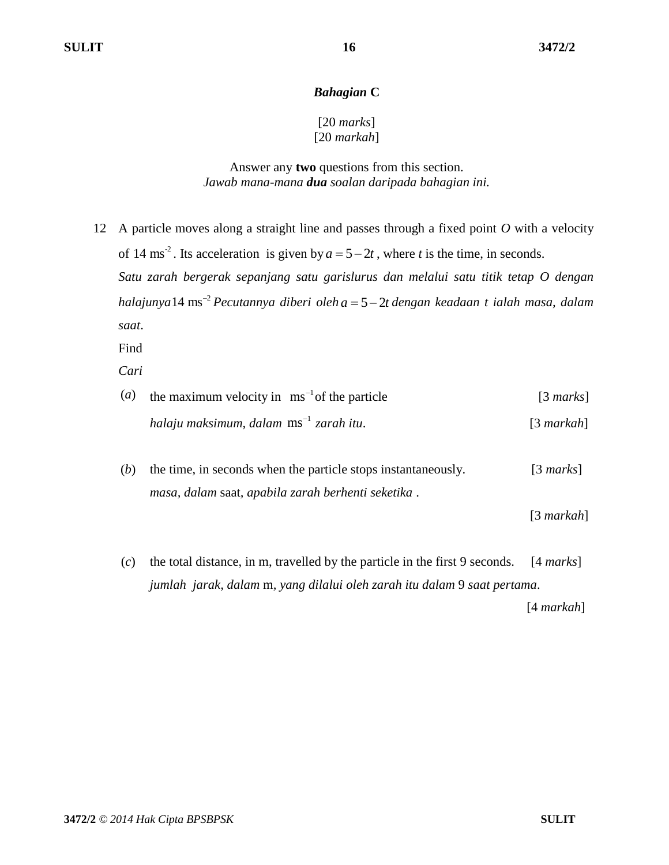#### *Bahagian* **C**

## [20 *marks*] [20 *markah*]

#### Answer any **two** questions from this section. *Jawab mana-mana dua soalan daripada bahagian ini.*

12 A particle moves along a straight line and passes through a fixed point *O* with a velocity of 14 ms<sup>-2</sup>. Its acceleration is given by  $a = 5 - 2t$ , where *t* is the time, in seconds. *Satu zarah bergerak sepanjang satu garislurus dan melalui satu titik tetap O dengan halajunya* 2 14 ms *Pecutannya diberi oleh a* 5 2*t dengan keadaan t ialah masa, dalam saat*.

Find

*Cari*

| $\left( a\right)$ | the maximum velocity in $\text{ ms}^{-1}$ of the particle | $\lceil 3 \text{ marks} \rceil$ |
|-------------------|-----------------------------------------------------------|---------------------------------|
|                   | halaju maksimum, dalam $\text{ms}^{-1}$ zarah itu.        | $[3$ markah]                    |
|                   |                                                           |                                 |

(*b*) the time, in seconds when the particle stops instantaneously. [3 *marks*] *masa, dalam* saat*, apabila zarah berhenti seketika* .

[3 *markah*]

(*c*) the total distance, in m, travelled by the particle in the first 9 seconds. [4 *marks*] *jumlah jarak, dalam* m*, yang dilalui oleh zarah itu dalam* 9 *saat pertama*.

[4 *markah*]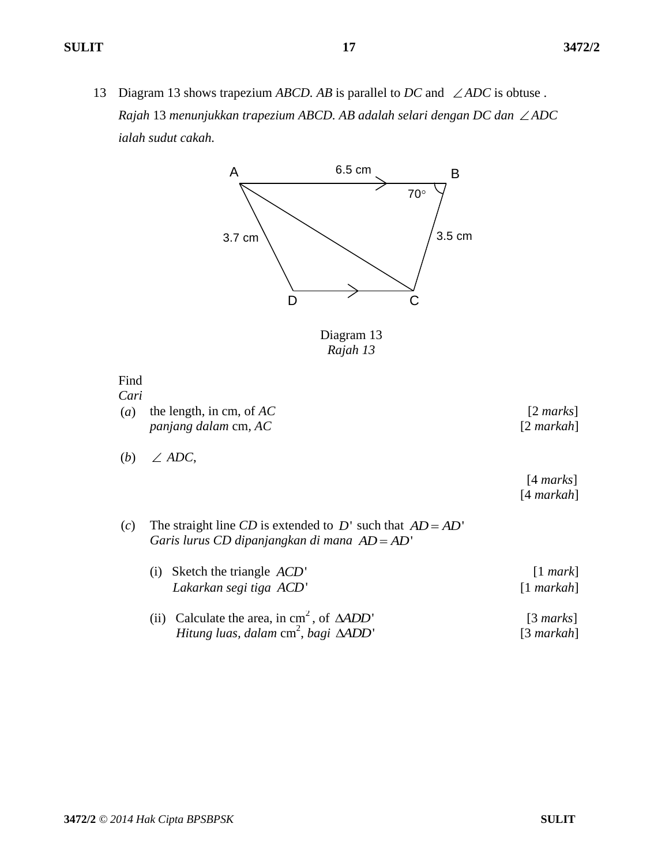13 Diagram 13 shows trapezium *ABCD*. *AB* is parallel to *DC* and  $\angle ADC$  is obtuse. *Rajah* 13 *menunjukkan trapezium ABCD. AB adalah selari dengan DC dan ADC ialah sudut cakah.* 



Diagram 13 *Rajah 13*

Find

*Cari*

- (*a*) the length, in cm, of *AC* [2 *marks*] *panjang dalam* cm*, AC* [2 *markah*]
- (*b*) *ADC*,

 [4 *marks*] [4 *markah*]

(*c*) The straight line *CD* is extended to *D*' such that  $AD = AD'$ Garis lurus CD dipanjangkan di mana AD = AD'

| (i) Sketch the triangle $ACD'$<br>Lakarkan segi tiga ACD'                                                                   | $[1$ mark]<br>$[1$ markah]          |
|-----------------------------------------------------------------------------------------------------------------------------|-------------------------------------|
| (ii) Calculate the area, in $\text{cm}^2$ , of $\triangle ADD'$<br>Hitung luas, dalam $\text{cm}^2$ , bagi $\triangle ADD'$ | $[3 \text{ marks}]$<br>$[3$ markah] |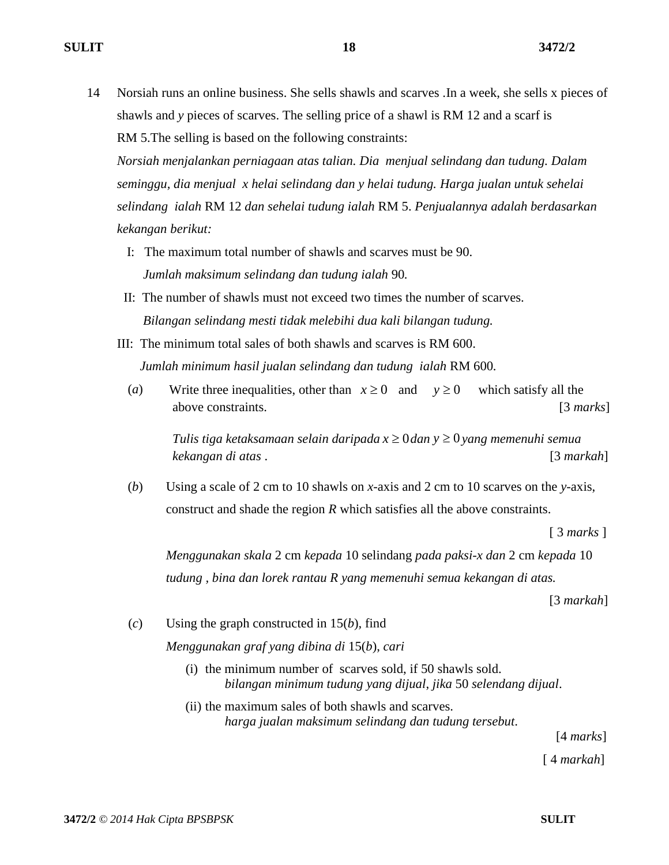14 Norsiah runs an online business. She sells shawls and scarves .In a week, she sells x pieces of shawls and *y* pieces of scarves. The selling price of a shawl is RM 12 and a scarf is RM 5.The selling is based on the following constraints:

*Norsiah menjalankan perniagaan atas talian. Dia menjual selindang dan tudung. Dalam seminggu, dia menjual x helai selindang dan y helai tudung. Harga jualan untuk sehelai selindang ialah* RM 12 *dan sehelai tudung ialah* RM 5. *Penjualannya adalah berdasarkan kekangan berikut:*

- I: The maximum total number of shawls and scarves must be 90.  *Jumlah maksimum selindang dan tudung ialah* 90*.*
- II: The number of shawls must not exceed two times the number of scarves.  *Bilangan selindang mesti tidak melebihi dua kali bilangan tudung.*
- III: The minimum total sales of both shawls and scarves is RM 600.  *Jumlah minimum hasil jualan selindang dan tudung ialah* RM 600*.*
	- (*a*) Write three inequalities, other than  $x \ge 0$  and which satisfy all the above constraints. [3 *marks*]

*Tulis tiga ketaksamaan selain daripada*  $x \geq 0$ *dan*  $y \geq 0$ *yang memenuhi semua kekangan di atas* . [3 *markah*]

(*b*) Using a scale of 2 cm to 10 shawls on *x*-axis and 2 cm to 10 scarves on the *y*-axis, construct and shade the region *R* which satisfies all the above constraints.

[ 3 *marks* ]

*Menggunakan skala* 2 cm *kepada* 10 selindang *pada paksi-x dan* 2 cm *kepada* 10 *tudung , bina dan lorek rantau R yang memenuhi semua kekangan di atas.* 

[3 *markah*]

(*c*) Using the graph constructed in 15(*b*)*,* find

*Menggunakan graf yang dibina di* 15(*b*), *cari*

- (i) the minimum number of scarves sold, if 50 shawls sold. *bilangan minimum tudung yang dijual*, *jika* 50 *selendang dijual*.
- (ii) the maximum sales of both shawls and scarves. *harga jualan maksimum selindang dan tudung tersebut*.

[4 *marks*]

[ 4 *markah*]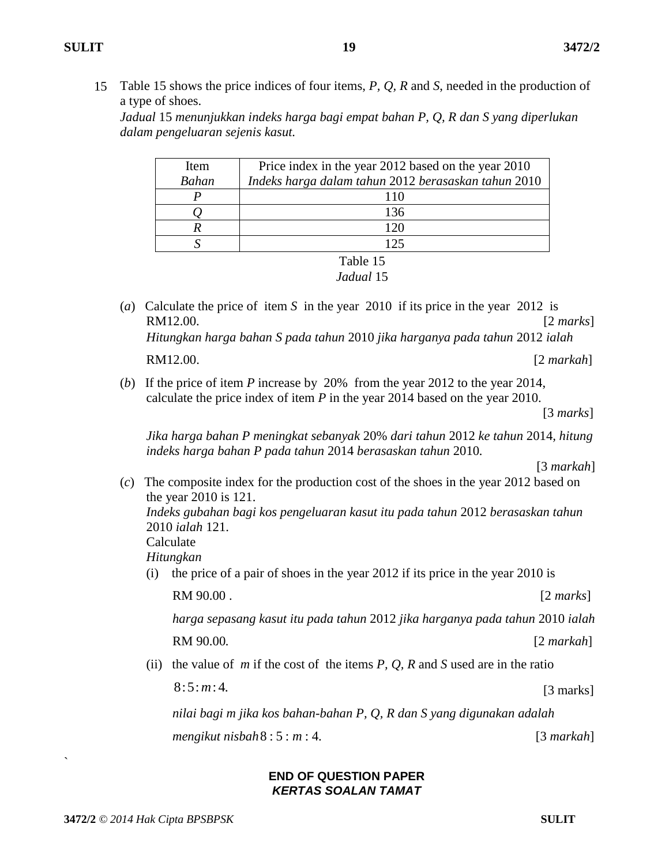15 Table 15 shows the price indices of four items, *P, Q, R* and *S*, needed in the production of a type of shoes.

*Jadual* 15 *menunjukkan indeks harga bagi empat bahan P, Q, R dan S yang diperlukan dalam pengeluaran sejenis kasut.*

| Item         | Price index in the year 2012 based on the year 2010 |
|--------------|-----------------------------------------------------|
| <b>Bahan</b> | Indeks harga dalam tahun 2012 berasaskan tahun 2010 |
|              | 110                                                 |
|              | 136                                                 |
|              | 120                                                 |
|              | 125                                                 |
|              |                                                     |

Table 15 *Jadual* 15

- (*a*) Calculate the price of item *S* in the year 2010 if its price in the year 2012 is RM12.00. [2 *marks*]  *Hitungkan harga bahan S pada tahun* 2010 *jika harganya pada tahun* 2012 *ialah*  **RM12.00.** [2 *markah*]
- (*b*) If the price of item *P* increase by 20% from the year 2012 to the year 2014, calculate the price index of item *P* in the year 2014 based on the year 2010.

[3 *marks*]

 *Jika harga bahan P meningkat sebanyak* 20% *dari tahun* 2012 *ke tahun* 2014*, hitung indeks harga bahan P pada tahun* 2014 *berasaskan tahun* 2010*.*

(*c*) The composite index for the production cost of the shoes in the year 2012 based on the year 2010 is 121.  *Indeks gubahan bagi kos pengeluaran kasut itu pada tahun* 2012 *berasaskan tahun* 

2010 *ialah* 121.

Calculate

 *Hitungkan*

(i) the price of a pair of shoes in the year 2012 if its price in the year 2010 is

RM 90.00 . [2 *marks*]

 *harga sepasang kasut itu pada tahun* 2012 *jika harganya pada tahun* 2010 *ialah*

**RM 90.00.**  *[2 <i>markah***]** 

(ii) the value of *m* if the cost of the items *P, Q, R* and *S* used are in the ratio

 $8:5: m:4.$  [3 marks]

 *nilai bagi m jika kos bahan-bahan P, Q, R dan S yang digunakan adalah* 

*mengikut nisbah*  $8:5: m:4$ .

#### **END OF QUESTION PAPER** *KERTAS SOALAN TAMAT*

`

[3 *markah*]

<sup>[3</sup> *markah*]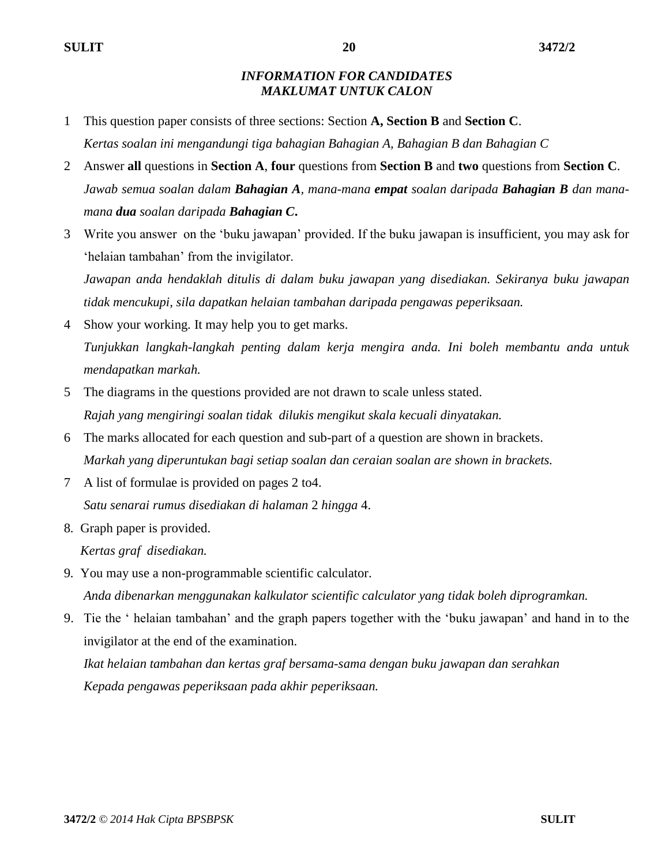#### *INFORMATION FOR CANDIDATES MAKLUMAT UNTUK CALON*

- 1 This question paper consists of three sections: Section **A, Section B** and **Section C**. *Kertas soalan ini mengandungi tiga bahagian Bahagian A, Bahagian B dan Bahagian C*
- 2 Answer **all** questions in **Section A**, **four** questions from **Section B** and **two** questions from **Section C**. *Jawab semua soalan dalam Bahagian A, mana-mana empat soalan daripada Bahagian B dan manamana dua soalan daripada Bahagian C***.**
- 3 Write you answer on the 'buku jawapan' provided. If the buku jawapan is insufficient, you may ask for 'helaian tambahan' from the invigilator.

*Jawapan anda hendaklah ditulis di dalam buku jawapan yang disediakan. Sekiranya buku jawapan tidak mencukupi, sila dapatkan helaian tambahan daripada pengawas peperiksaan.*

- 4 Show your working. It may help you to get marks. *Tunjukkan langkah-langkah penting dalam kerja mengira anda. Ini boleh membantu anda untuk mendapatkan markah.*
- 5 The diagrams in the questions provided are not drawn to scale unless stated. *Rajah yang mengiringi soalan tidak dilukis mengikut skala kecuali dinyatakan.*
- 6 The marks allocated for each question and sub-part of a question are shown in brackets. *Markah yang diperuntukan bagi setiap soalan dan ceraian soalan are shown in brackets.*
- 7 A list of formulae is provided on pages 2 to4. *Satu senarai rumus disediakan di halaman* 2 *hingga* 4.
- 8*.* Graph paper is provided.

 *Kertas graf disediakan.*

- 9*.* You may use a non-programmable scientific calculator.  *Anda dibenarkan menggunakan kalkulator scientific calculator yang tidak boleh diprogramkan.*
- 9. Tie the ' helaian tambahan' and the graph papers together with the 'buku jawapan' and hand in to the invigilator at the end of the examination.

*Ikat helaian tambahan dan kertas graf bersama-sama dengan buku jawapan dan serahkan Kepada pengawas peperiksaan pada akhir peperiksaan.*